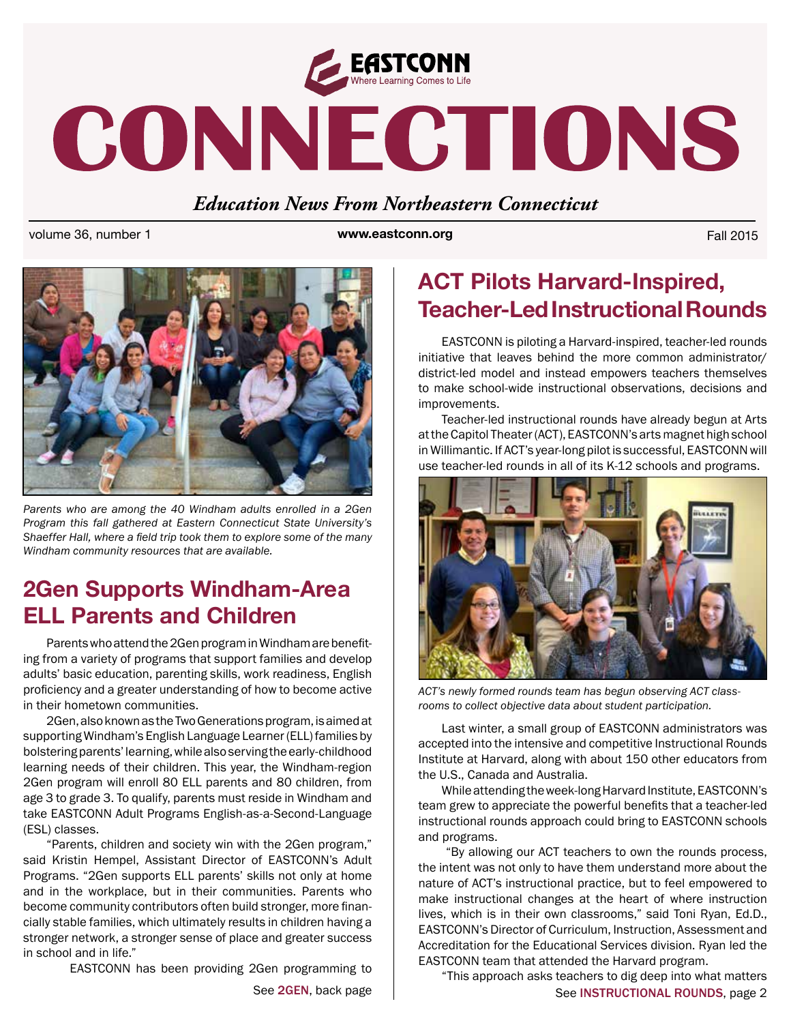

# CONNECTIONS

#### *Education News From Northeastern Connecticut*

volume 36, number 1 **www.eastconn.org** Fall 2015



*Parents who are among the 40 Windham adults enrolled in a 2Gen Program this fall gathered at Eastern Connecticut State University's Shaeffer Hall, where a feld trip took them to explore some of the many Windham community resources that are available.* 

### **2Gen Supports Windham-Area ELL Parents and Children**

Parents who attend the 2Gen program in Windham are benefting from a variety of programs that support families and develop adults' basic education, parenting skills, work readiness, English proficiency and a greater understanding of how to become active in their hometown communities.

2Gen, also known as the Two Generations program, is aimed at supporting Windham's English Language Learner (ELL) families by bolstering parents' learning, while also serving the early-childhood learning needs of their children. This year, the Windham-region 2Gen program will enroll 80 ELL parents and 80 children, from age 3 to grade 3. To qualify, parents must reside in Windham and take EASTCONN Adult Programs English-as-a-Second-Language (ESL) classes.

"Parents, children and society win with the 2Gen program," said Kristin Hempel, Assistant Director of EASTCONN's Adult Programs. "2Gen supports ELL parents' skills not only at home and in the workplace, but in their communities. Parents who become community contributors often build stronger, more fnancially stable families, which ultimately results in children having a stronger network, a stronger sense of place and greater success in school and in life."

EASTCONN has been providing 2Gen programming to

## **ACT Pilots Harvard-Inspired, Teacher-Led Instructional Rounds**

EASTCONN is piloting a Harvard-inspired, teacher-led rounds initiative that leaves behind the more common administrator/ district-led model and instead empowers teachers themselves to make school-wide instructional observations, decisions and improvements.

Teacher-led instructional rounds have already begun at Arts at the Capitol Theater (ACT), EASTCONN's arts magnet high school in Willimantic. If ACT's year-long pilot is successful, EASTCONN will use teacher-led rounds in all of its K-12 schools and programs.



*ACT's newly formed rounds team has begun observing ACT classrooms to collect objective data about student participation.* 

Last winter, a small group of EASTCONN administrators was accepted into the intensive and competitive Instructional Rounds Institute at Harvard, along with about 150 other educators from the U.S., Canada and Australia.

While attending the week-long Harvard Institute, EASTCONN's team grew to appreciate the powerful benefts that a teacher-led instructional rounds approach could bring to EASTCONN schools and programs.

 "By allowing our ACT teachers to own the rounds process, the intent was not only to have them understand more about the nature of ACT's instructional practice, but to feel empowered to make instructional changes at the heart of where instruction lives, which is in their own classrooms," said Toni Ryan, Ed.D., EASTCONN's Director of Curriculum, Instruction, Assessment and Accreditation for the Educational Services division. Ryan led the EASTCONN team that attended the Harvard program.

See 2GEN, back page See INSTRUCTIONAL ROUNDS, page 2 "This approach asks teachers to dig deep into what matters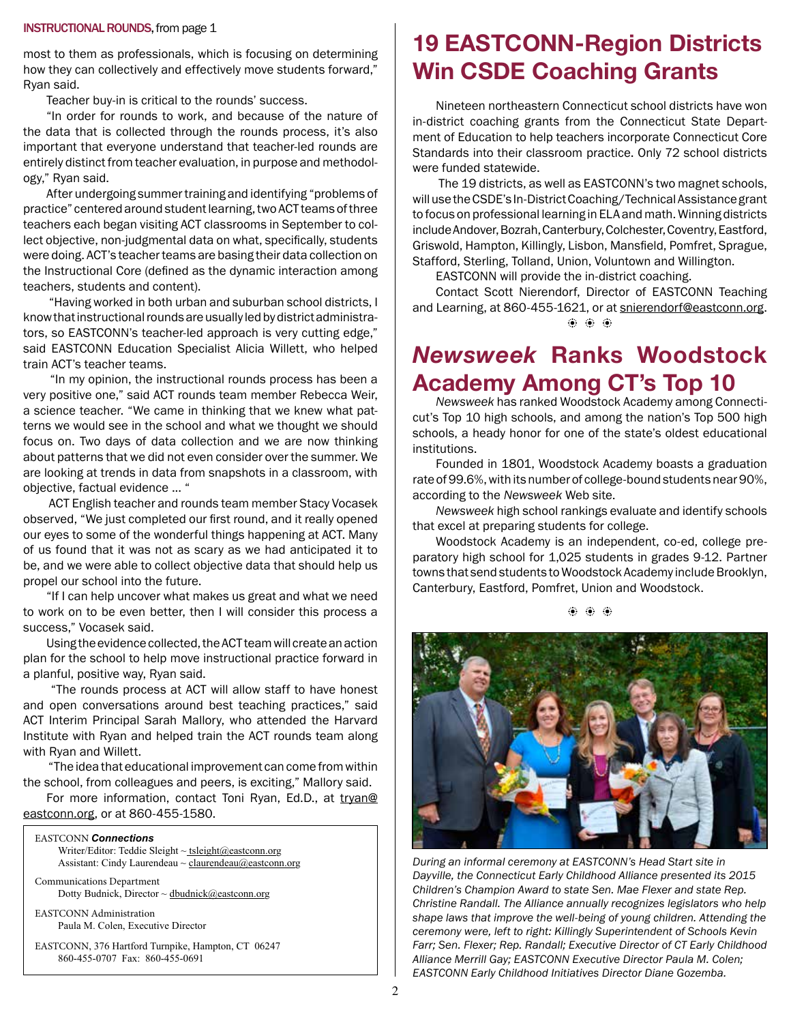#### INSTRUCTIONAL ROUNDS, from page 1

most to them as professionals, which is focusing on determining how they can collectively and effectively move students forward," Ryan said.

Teacher buy-in is critical to the rounds' success.

"In order for rounds to work, and because of the nature of the data that is collected through the rounds process, it's also important that everyone understand that teacher-led rounds are entirely distinct from teacher evaluation, in purpose and methodology," Ryan said.

After undergoing summer training and identifying "problems of practice" centered around student learning, two ACT teams of three teachers each began visiting ACT classrooms in September to collect objective, non-judgmental data on what, specifcally, students were doing. ACT's teacher teams are basing their data collection on the Instructional Core (defned as the dynamic interaction among teachers, students and content).

"Having worked in both urban and suburban school districts, I know that instructional rounds are usually led by district administrators, so EASTCONN's teacher-led approach is very cutting edge," said EASTCONN Education Specialist Alicia Willett, who helped train ACT's teacher teams.

 "In my opinion, the instructional rounds process has been a very positive one," said ACT rounds team member Rebecca Weir, a science teacher. "We came in thinking that we knew what patterns we would see in the school and what we thought we should focus on. Two days of data collection and we are now thinking about patterns that we did not even consider over the summer. We are looking at trends in data from snapshots in a classroom, with objective, factual evidence ... "

 ACT English teacher and rounds team member Stacy Vocasek observed, "We just completed our frst round, and it really opened our eyes to some of the wonderful things happening at ACT. Many of us found that it was not as scary as we had anticipated it to be, and we were able to collect objective data that should help us propel our school into the future.

"If I can help uncover what makes us great and what we need to work on to be even better, then I will consider this process a success," Vocasek said.

Using the evidence collected, the ACT team will create an action plan for the school to help move instructional practice forward in a planful, positive way, Ryan said.

"The rounds process at ACT will allow staff to have honest and open conversations around best teaching practices," said ACT Interim Principal Sarah Mallory, who attended the Harvard Institute with Ryan and helped train the ACT rounds team along with Ryan and Willett.

"The idea that educational improvement can come from within the school, from colleagues and peers, is exciting," Mallory said.

For more information, contact Toni Ryan, Ed.D., at [tryan@](mailto:tryan@eastconn.org) [eastconn.org](mailto:tryan@eastconn.org), or at 860-455-1580.

#### EASTCONN *Connections*  Writer/Editor: Teddie Sleight ~ tsleight@eastconn.org Assistant: Cindy Laurendeau ~ [claurendeau@eastconn.org](mailto:claurendeau@eastconn.org)

[Communications Department](%20mailto:connections@eastconn.org) [Dotty Budnick](mailto:dbudnick@eastconn.org), Director ~ dbudnick@eastconn.org

EASTCONN Administration Paula M. Colen, Executive Director

EASTCONN, 376 Hartford Turnpike, Hampton, CT 06247 860-455-0707 Fax: 860-455-0691

#### **19 EASTCONN-Region Districts Win CSDE Coaching Grants**

Nineteen northeastern Connecticut school districts have won in-district coaching grants from the Connecticut State Department of Education to help teachers incorporate Connecticut Core Standards into their classroom practice. Only 72 school districts were funded statewide.

 The 19 districts, as well as EASTCONN's two magnet schools, will use the CSDE's In-District Coaching/Technical Assistance grant to focus on professional learning in ELA and math. Winning districts include Andover, Bozrah, Canterbury, Colchester, Coventry, Eastford, Griswold, Hampton, Killingly, Lisbon, Mansfeld, Pomfret, Sprague, Stafford, Sterling, Tolland, Union, Voluntown and Willington.

EASTCONN will provide the in-district coaching.

 $\circledast$   $\circledast$   $\circledast$ Contact Scott Nierendorf, Director of EASTCONN Teaching and Learning, at 860-455-1621, or at [snierendorf@eastconn.org.](mailto:snierendorf@eastconn.org)

#### *Newsweek* **Ranks Woodstock Academy Among CT's Top 10**

*Newsweek* has ranked Woodstock Academy among Connecticut's Top 10 high schools, and among the nation's Top 500 high schools, a heady honor for one of the state's oldest educational institutions.

Founded in 1801, Woodstock Academy boasts a graduation rate of 99.6%, with its number of college-bound students near 90%, according to the *Newsweek* Web site.

*Newsweek* high school rankings evaluate and identify schools that excel at preparing students for college.

Woodstock Academy is an independent, co-ed, college preparatory high school for 1,025 students in grades 9-12. Partner towns that send students to Woodstock Academy include Brooklyn, Canterbury, Eastford, Pomfret, Union and Woodstock.

 $\ddot{\bullet}$ 



*During an informal ceremony at EASTCONN's Head Start site in Dayville, the Connecticut Early Childhood Alliance presented its 2015 Children's Champion Award to state Sen. Mae Flexer and state Rep. Christine Randall. The Alliance annually recognizes legislators who help shape laws that improve the well-being of young children. Attending the ceremony were, left to right: Killingly Superintendent of Schools Kevin Farr; Sen. Flexer; Rep. Randall; Executive Director of CT Early Childhood Alliance Merrill Gay; EASTCONN Executive Director Paula M. Colen; EASTCONN Early Childhood Initiatives Director Diane Gozemba.*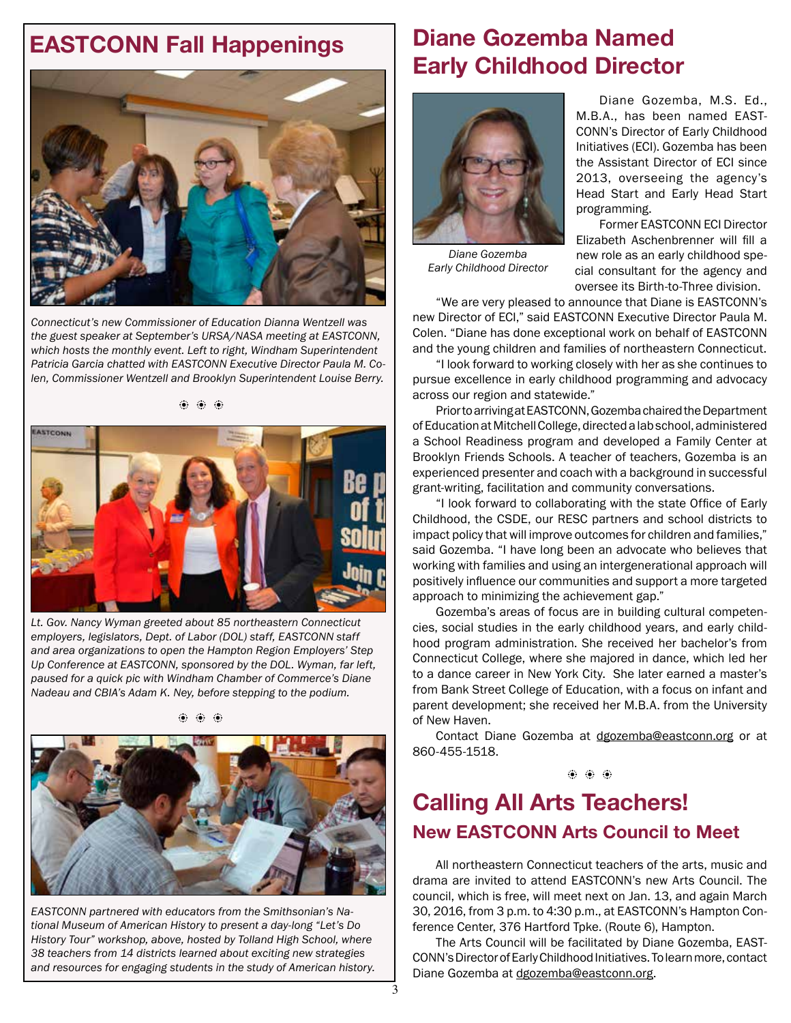# **EASTCONN Fall Happenings Diane Gozemba Named**



*Connecticut's new Commissioner of Education Dianna Wentzell was the guest speaker at September's URSA/NASA meeting at EASTCONN, which hosts the monthly event. Left to right, Windham Superintendent Patricia Garcia chatted with EASTCONN Executive Director Paula M. Colen, Commissioner Wentzell and Brooklyn Superintendent Louise Berry.*

b b b



*Lt. Gov. Nancy Wyman greeted about 85 northeastern Connecticut employers, legislators, Dept. of Labor (DOL) staff, EASTCONN staff and area organizations to open the Hampton Region Employers' Step Up Conference at EASTCONN, sponsored by the DOL. Wyman, far left, paused for a quick pic with Windham Chamber of Commerce's Diane Nadeau and CBIA's Adam K. Ney, before stepping to the podium.* 

 $\hat{\bullet}$   $\hat{\bullet}$   $\hat{\bullet}$ 



*EASTCONN partnered with educators from the Smithsonian's National Museum of American History to present a day-long "Let's Do History Tour" workshop, above, hosted by Tolland High School, where 38 teachers from 14 districts learned about exciting new strategies and resources for engaging students in the study of American history.* 

# **Early Childhood Director**



*Diane Gozemba Early Childhood Director*

Diane Gozemba, M.S. Ed., M.B.A., has been named EAST-CONN's Director of Early Childhood Initiatives (ECI). Gozemba has been the Assistant Director of ECI since 2013, overseeing the agency's Head Start and Early Head Start programming.

Former EASTCONN ECI Director Elizabeth Aschenbrenner will fill a new role as an early childhood special consultant for the agency and oversee its Birth-to-Three division.

"We are very pleased to announce that Diane is EASTCONN's new Director of ECI," said EASTCONN Executive Director Paula M. Colen. "Diane has done exceptional work on behalf of EASTCONN and the young children and families of northeastern Connecticut.

"I look forward to working closely with her as she continues to pursue excellence in early childhood programming and advocacy across our region and statewide."

Prior to arriving at EASTCONN, Gozemba chaired the Department of Education at Mitchell College, directed a lab school, administered a School Readiness program and developed a Family Center at Brooklyn Friends Schools. A teacher of teachers, Gozemba is an experienced presenter and coach with a background in successful grant-writing, facilitation and community conversations.

"I look forward to collaborating with the state Office of Early Childhood, the CSDE, our RESC partners and school districts to impact policy that will improve outcomes for children and families," said Gozemba. "I have long been an advocate who believes that working with families and using an intergenerational approach will positively infuence our communities and support a more targeted approach to minimizing the achievement gap."

Gozemba's areas of focus are in building cultural competencies, social studies in the early childhood years, and early childhood program administration. She received her bachelor's from Connecticut College, where she majored in dance, which led her to a dance career in New York City. She later earned a master's from Bank Street College of Education, with a focus on infant and parent development; she received her M.B.A. from the University of New Haven.

Contact Diane Gozemba at [dgozemba@eastconn.org](mailto:dgozemba@eastconn.org) or at 860-455-1518.

b b b

#### **Calling All Arts Teachers! New EASTCONN Arts Council to Meet**

All northeastern Connecticut teachers of the arts, music and drama are invited to attend EASTCONN's new Arts Council. The council, which is free, will meet next on Jan. 13, and again March 30, 2016, from 3 p.m. to 4:30 p.m., at EASTCONN's Hampton Conference Center, 376 Hartford Tpke. (Route 6), Hampton.

The Arts Council will be facilitated by Diane Gozemba, EAST-CONN's Director of Early Childhood Initiatives. To learn more, contact Diane Gozemba at [dgozemba@eastconn.](mailto:dgozemba@eastconn.org)org.